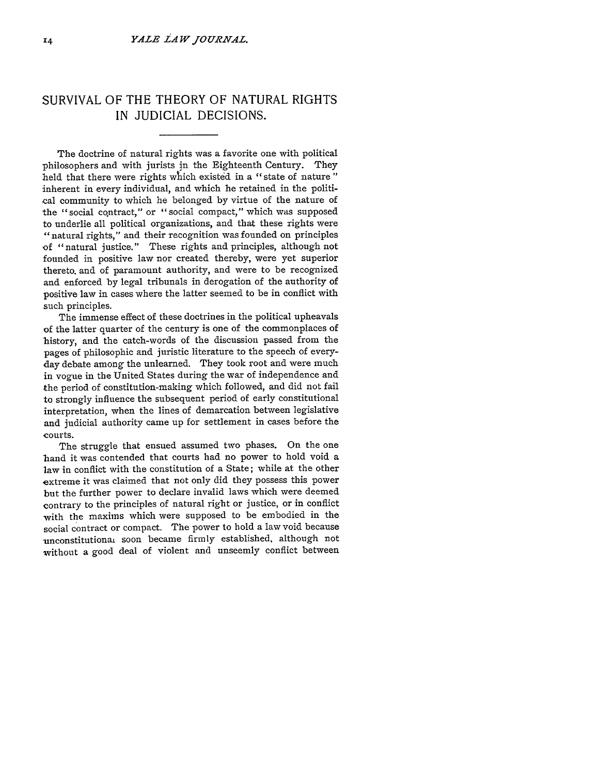## SURVIVAL OF THE THEORY OF **NATURAL** RIGHTS IN JUDICIAL DECISIONS.

The doctrine of natural rights was a favorite one with political philosophers and with jurists in the Eighteenth Century. They held that there were rights which existed in a "state of nature" inherent in every individual, and which he retained in the political community to which he belonged by virtue of the nature of the "social contract," or "social compact," which was supposed to underlie all political organizations, and that these rights were "natural rights," and their recognition was founded on principles of "natural justice." These rights and principles, although not founded in positive law nor created thereby, were yet superior thereto, and of paramount authority, and were to be recognized and enforced by legal tribunals in derogation of the authority of positive law in cases where the latter seemed to be in conflict with such principles.

The immense effect of these doctrines in the political upheavals of the latter quarter of the century is one of the commonplaces of history, and the catch-words of the discussion passed from the pages of philosophic and juristic literature to the speech of everyday debate among the unlearned. They took root and were much in vogue in the United States during the war of independence and the period of constitution-making which followed, and did not fail to strongly influence the subsequent period of early constitutional interpretation, when the lines of demarcation between legislative and judicial authority came up for settlement in cases before the courts.

The struggle that ensued assumed two phases. On the one hand it was contended that courts had no power to hold void a law in conflict with the constitution of a State; while at the other extreme it was claimed that not only did they possess this power but the further power to declare invalid laws which were deemed contrary to the principles of natural right or justice, or in conflict with the maxims which were supposed to be embodied in the social contract or compact. The power to hold a law void because -anconstitutionai. soon became firmly established, although not without a good deal of violent and unseemly conflict between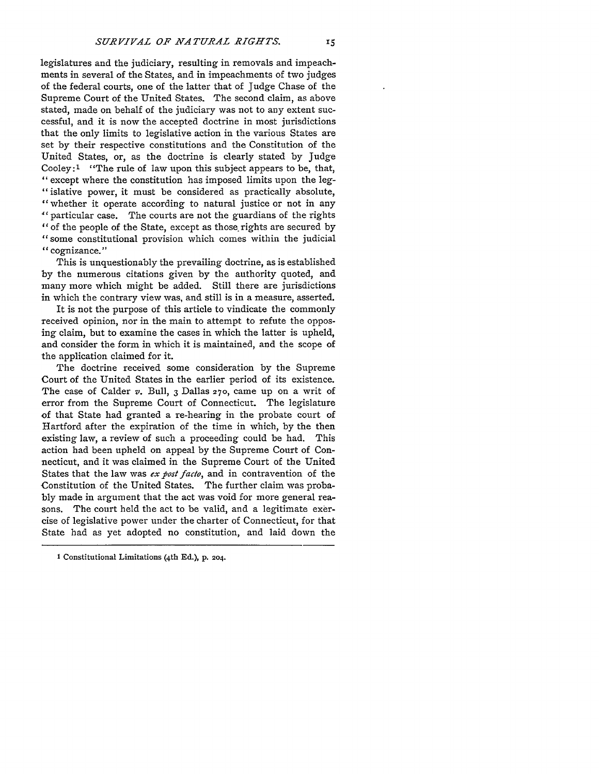legislatures and the judiciary, resulting in removals and impeachments in several of the States, and in impeachments of two judges of the federal courts, one of the latter that of Judge Chase of the Supreme Court of the United States. The second claim, as above stated, made on behalf of the judiciary was not to any extent successful, and it is now the accepted doctrine in most jurisdictions that the only limits to legislative action in the various States are set by their respective constitutions and the Constitution of the United States, or, as the doctrine is clearly stated by Judge Cooley:I "The rule of law upon this subject appears to be, that, "except where the constitution has imposed limits upon the leg- "islative power, it must be considered as practically absolute, "whether it operate according to natural justice or not in any "particular case. The courts are not the guardians of the rights "of the people of the State, except as those rights are secured by "some constitutional provision which comes within the judicial " cognizance."

This is unquestionably the prevailing doctrine, as is established by the numerous citations given by the authority quoted, and many more which might be added. Still there are jurisdictions in which the contrary view was, and still is in a measure, asserted.

It is not the purpose of this article to vindicate the commonly received opinion, nor in the main to attempt to refute the opposing claim, but to examine the cases in which the latter is upheld, and consider the form in which it is maintained, and the scope of the application claimed for it.

The doctrine received some consideration by the Supreme Court of the United States in the earlier period of its existence. The case of Calder *v.* Bull, 3 Dallas **270,** came up on a writ of error from the Supreme Court of Connecticut. The legislature of that State had granted a re-hearing in the probate court of Hartford after the expiration of the time in which, by the then existing law, a review of such a proceeding could be had. This action had been upheld on appeal by the Supreme Court of Connecticut, and it was claimed in the Supreme Court of the United States that the law was ex *post facto,* and in contravention of the Constitution of the United States. The further claim was probably made in argument that the act was void for more general reasons. The court held the act to be valid, and a legitimate exercise of legislative power under the charter of Connecticut, for that State had as yet adopted no constitution, and laid down the

**<sup>I</sup>**Constitutional Limitations (4 th **Ed.),** p. 204.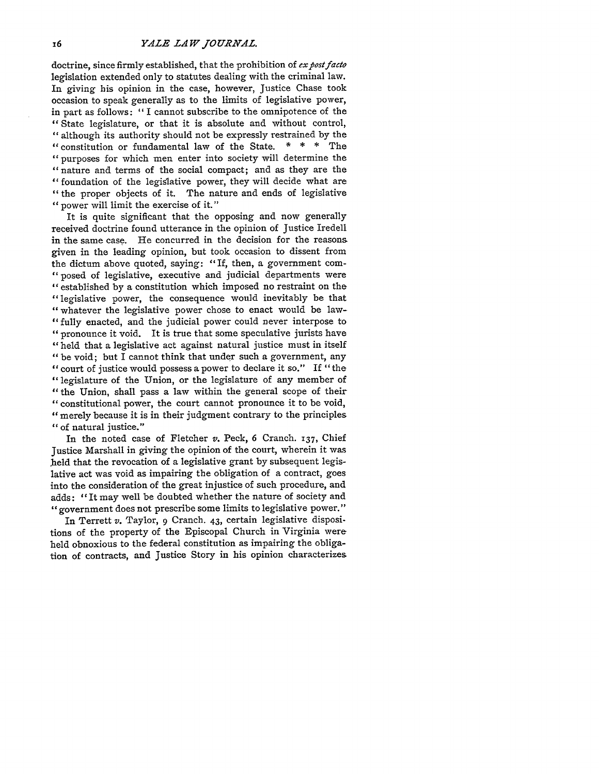doctrine, since firmly established, that the prohibition of *ex Postfacto* legislation extended only to statutes dealing with the criminal law. In giving his opinion in the case, however, Justice Chase took occasion to speak generally as to the limits of legislative power, in part as follows: " I cannot subscribe to the omnipotence of the **"** State legislature, or that it is absolute and without control, **"** although its authority should not be expressly restrained **by** the "constitution or fundamental law of the State. **\* \* \*** The purposes for which men enter into society will determine the "nature and terms of the social compact; and as they are the "foundation of the legislative power, they will decide what are "the proper objects of it. The nature and ends of legislative 'power will limit the exercise of it."

It is quite significant that the opposing and now generally received doctrine found utterance in the opinion of Justice Iredell in the same case. He concurred in the decision for the reasons given in the leading opinion, but took occasion to dissent from the dictum above quoted, saying: "If, then, a government com- "posed of legislative, executive and judicial departments were "established by a constitution which imposed no restraint on the "legislative power, the consequence would inevitably be that "whatever the legislative power chose to enact would be law- "fully enacted, and the judicial power could never interpose to "pronounce it void. It is true that some speculative jurists have "held that a legislative act against natural justice must in itself *"be* void; but I cannot think that under such a government, any " court of justice would possess a power to declare it so." If "the "legislature of the Union, or the legislature of any member of "the Union, shall pass a law within the general scope of their "constitutional power, the court cannot pronounce it to be void, "merely because it is in their judgment contrary to the principles "of natural justice."

In the noted case of Fletcher v. Peck, 6 Cranch. **137,** Chief Justice Marshall in giving the opinion of the court, wherein it was held that the revocation of a legislative grant by subsequent legislative act was void as impairing the obligation of a contract, goes into the consideration of the great injustice of such procedure, and adds: "It may well be doubted whether the nature of society and "government does not prescribe some limits to legislative power."

In Terrett v. Taylor, 9 Cranch. 43, certain legislative dispositions of the property of the Episcopal Church in Virginia were held obnoxious to the federal constitution as impairing the obligation of contracts, and Justice Story in his opinion characterizes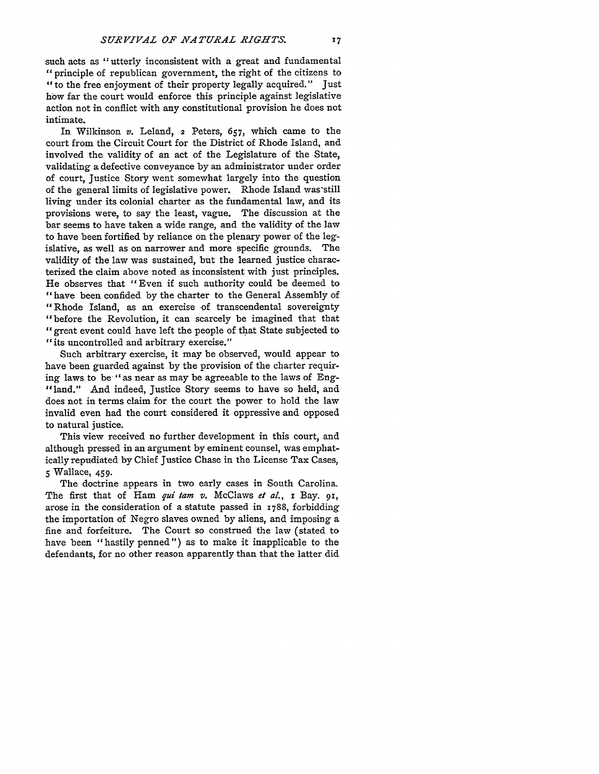such acts as "utterly inconsistent with a great and fundamental "principle of republican government, the right of the citizens to " to the free enjoyment of their property legally acquired." Just how far the court would enforce this principle against legislative action not in conflict with any constitutional provision he does not intimate.

In Wilkinson *v.* Leland, 2 Peters, 657, which came to the court from the Circuit Court for the District of Rhode Island, and involved the validity of an act of the Legislature of the State, validating a defective conveyance by an administrator under order of court, Justice Story went somewhat largely into the question of the general limits of legislative power. Rhode Island was-still living under its colonial charter as the fundamental law, and its provisions were, to say the least, vague. The discussion at the bar seems to have taken a wide range, and the validity of the law to have been fortified by reliance on the plenary power of the legislative, as well as on narrower and more specific grounds. The validity of the law was sustained, but the learned justice characterized the claim above noted as inconsistent with just principles. He observes that "Even if such authority could be deemed to "have been confided by the charter to the General Assembly of "Rhode Island, as an exercise of transcendental sovereignty "before the Revolution, it can scarcely be imagined that that "great event could have left the people of that State subjected to "its uncontrolled and arbitrary exercise."

Such arbitrary exercise, it may be observed, would appear to have been guarded against by the provision of the charter requiring laws to be "as near as may be agreeable to the laws of Eng-"land." And indeed, Justice Story seems to have so held, and does not in terms claim for the court the power to hold the law invalid even had the court considered it oppressive and opposed to natural justice.

This view received no further development in this court, and although pressed in an argument by eminent counsel, was emphatically repudiated by Chief Justice Chase in the License Tax Cases, 5 Wallace, 459.

The doctrine appears in two early cases in South Carolina. The first that of Ham *qui tam v.* McClaws *et al.,* **i** Bay. 91, arose in the consideration of a statute passed in 1788, forbidding the importation of Negro slaves owned by aliens, and imposing a fine and forfeiture. The Court so construed the law (stated to have been "hastily penned") as to make it inapplicable to the defendants, for no other reason apparently than that the latter did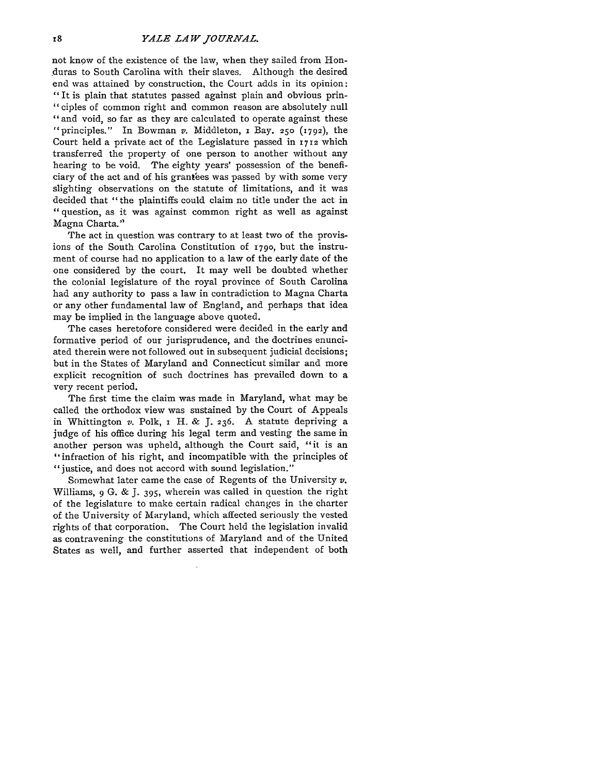not know of the existence of the law, when they sailed from Honduras to South Carolina with their slaves. Although the desired end was attained **by** construction, the Court adds in its opinion: It is plain that statutes passed against plain and obvious prin- "ciples of common right and common reason are absolutely null "and void, so far as they are calculated to operate against these "principles." In Bowman *v*. Middleton, *I* Bay. 250 (1792), the Court held a private act of the Legislature passed in **1712** which transferred the property of one person to another without any hearing to be void. The eighty years' possession of the beneficiary of the act and of his grantees was passed by with some very slighting observations on the statute of limitations, and it was decided that "the plaintiffs could claim no title under the act in *"* question, as it was against common right as well as against Magna Charta."

The act in question was contrary to at least two of the provisions of the South Carolina Constitution of **<sup>179</sup> <sup>o</sup> ,** but the instrument of course had no application to a law of the early date of the one considered by the court. It may well be doubted whether the colonial legislature of the royal province of South Carolina had any authority to pass a law in contradiction to Magna Charta or any other fundamental law of England, and perhaps that idea may be implied in the language above quoted.

The cases heretofore considered were decided in the early and formative period of our jurisprudence, and the doctrines enunciated therein were not followed out in subsequent judicial decisions; but in the States of Maryland and Connecticut similar and more explicit recognition of such doctrines has prevailed down to a very recent period.

The first time the claim was made in Maryland, what may be called the orthodox view was sustained by the Court of Appeals in Whittington *v.* Polk, i H. & J. **236.** A statute depriving a judge of his office during his legal term and vesting the same in another person was upheld, although the Court said, "it is an "infraction of his right, and incompatible with the principles of "justice, and does not accord with sound legislation."

Somewhat later came the case of Regents of the University  $v$ . Williams, **9** G. & J. 395, wherein was called in question the right of the legislature to make certain radical changes in the charter of the University of Maryland, which affected seriously the vested rights of that corporation. The Court held the legislation invalid as contravening the constitutions of Maryland and of the United States as well, and further asserted that independent of both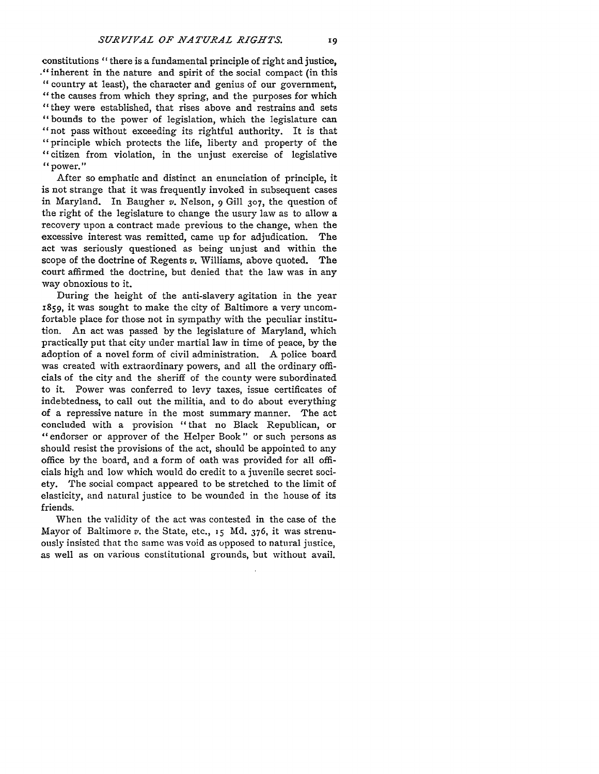constitutions "there is a fundamental principle of right and justice, • " inherent in the nature and spirit of the social compact (in this "country at least), the character and genius of our government, "the causes from which they spring, and the purposes for which "they were established, that rises above and restrains and sets "bounds to the power of legislation, which the legislature can "not pass without exceeding its rightful authority. It is that "principle which protects the life, liberty and property of the "citizen from violation, in the unjust exercise of legislative "power."

After so emphatic and distinct an enunciation of principle, it is not strange that it was frequently invoked in subsequent cases in Maryland. In Baugher v. Nelson, 9 Gill **307,** the question of the right of the legislature to change the usury law as to allow a recovery upon a contract made previous to the change, when the excessive interest was remitted, came up for adjudication. The act was seriously questioned as being unjust and within the scope of the doctrine of Regents  $v$ . Williams, above quoted. The court affirmed the doctrine, but denied that the law was in any way obnoxious to it.

During the height of the anti-slavery agitation in the year 1859, it was sought to make the city of Baltimore a very uncomfortable place for those not in sympathy with the peculiar institution. An act was passed by the legislature of Maryland, which practically put that city under martial law in time of peace, by the adoption of a novel form of civil administration. A police board was created with extraordinary powers, and all the ordinary officials of the city and the sheriff of the county were subordinated to it. Power was conferred to levy taxes, issue certificates of indebtedness, to call out the militia, and to do about everything of a repressive nature in the most summary manner. The act concluded with a provision "that no Black Republican, or "endorser or approver of the Helper Book" or such persons as should resist the provisions of the act, should be appointed to any office by the board, and a form of oath was provided for all officials high and low which would do credit to a juvenile secret society. The social compact appeared to be stretched to the limit of elasticity, and natural justice to be wounded in the house of its friends.

When the validity of the act was contested in the case of the Mayor of Baltimore *v*. the State, etc., 15 Md. 376, it was strenuously insisted that the same was void as opposed to natural justice, as well as on various constitutional grounds, but without avail.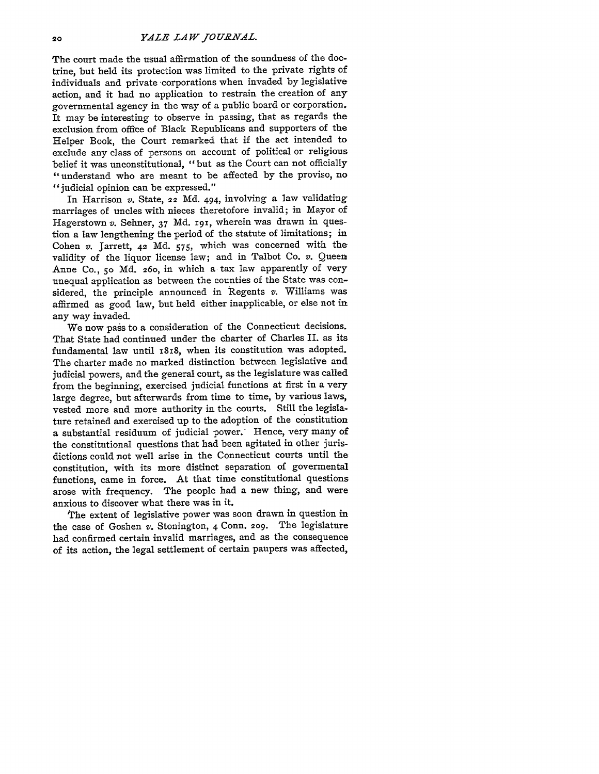The court made the usual affirmation of the soundness of the doctrine, but held its protection was limited to the private rights of individuals and private corporations when invaded by legislative action, and it had no application to restrain the creation of any governmental agency in the way of a public board or corporation. It may be interesting to observe in passing, that as regards the exclusion from office of Black Republicans and supporters of the Helper Book, the Court remarked that if the act intended to exclude any class of persons on account of political or religious belief it was unconstitutional, "but as the Court can not officially "understand who are meant to be affected by the proviso, no "judicial opinion can be expressed."

In Harrison *v.* State, 22 Md. 494, involving a law validating marriages of uncles with nieces theretofore invalid; in Mayor of Hagerstown v. Sehner, 37 Md. **191,** wherein was drawn in question a law lengthening the period of the statute of limitations; in Cohen *v.* Jarrett, 42 Md. 575, which was concerned with the validity of the liquor license law; and in Talbot Co.  $v$ . Queen Anne Co., **50** Md. 26o, in which a tax law apparently of very unequal application as between the counties of the State was considered, the principle announced in Regents  $v$ . Williams was affirmed as good law, but held either inapplicable, or else not in any way invaded.

We now pass to a consideration of the Connecticut decisions. That State had continued under the charter of Charles II. as its fundamental law until **1818,** when its constitution was adopted. The charter made no marked distinction between legislative and judicial powers, and the general court, as the legislature was called from the beginning, exercised judicial functions at first in a very large degree, but afterwards from time to time, by various laws, vested more and more authority in the courts. Still the legislature retained and exercised up to the adoption of the constitution a substantial residuum of judicial power.' Hence, very many of the constitutional questions that had been agitated in other jurisdictions could not well arise in the Connecticut courts until the constitution, with its more distinct separation of govermental functions, came in force. At that time constitutional questions arose with frequency. The people had a new thing, and were anxious to discover what there was in it.

The extent of legislative power was soon drawn in question in the case of Goshen *v.* Stonington, 4 Conn. **209.** The legislature had confirmed certain invalid marriages, and as the consequence of its action, the legal settlement of certain paupers was affected,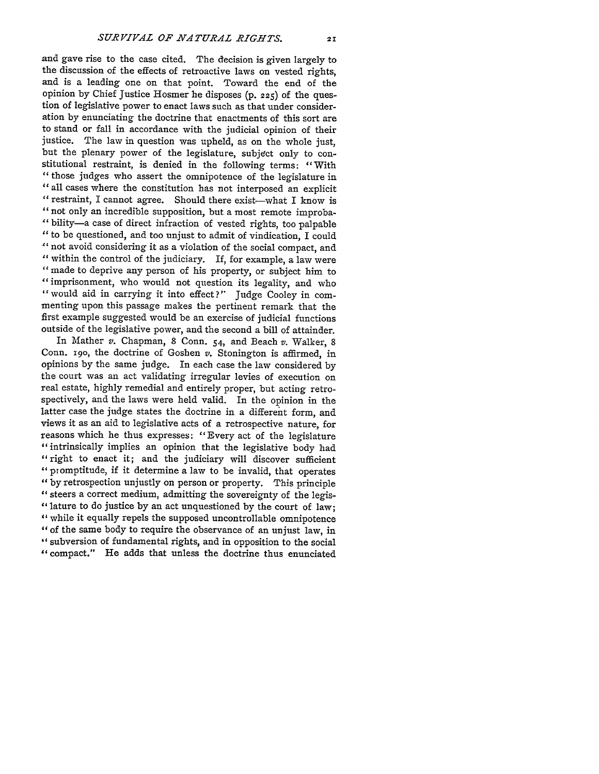$2I$ 

and gave rise to the case cited. The decision is given largely to the discussion of the effects of retroactive laws on vested rights, and is a leading one on that point. Toward the end of the opinion by Chief Justice Hosmer he disposes (p. **225)** of the question of legislative power to enact laws such as that under consideration by enunciating the doctrine that enactments of this sort are to stand or fall in accordance with the judicial opinion of their justice. The law in question was upheld, as on the whole just, but the plenary power of the legislature, subject only to constitutional restraint, is denied in the following terms: "With **"** those judges who assert the omnipotence of the legislature in "all cases where the constitution has not interposed an explicit "restraint, I cannot agree. Should there exist-what I know is " not only an incredible supposition, but a most remote improba-"bility-a case of direct infraction of vested rights, too palpable *"to* be questioned, and too unjust to admit of vindication, I could " not avoid considering it as a violation of the social compact, and " within the control of the judiciary. If, for example, a law were "made to deprive any person of his property, or subject him to "imprisonment, who would not question its legality, and who "would aid in carrying it into effect?" Judge Cooley in commenting upon this passage makes the pertinent remark that the first example suggested would be an exercise of judicial functions outside of the legislative power, and the second a bill of attainder.

In Mather v. Chapman, 8 Conn. 54, and Beach *v.* Walker, 8 Conn. **19o,** the doctrine of Goshen v. Stonington is affirmed, in opinions by the same judge. In each case the law considered by the court was an act validating irregular levies of execution on real estate, highly remedial and entirely proper, but acting retrospectively, and the laws were held valid. In the opinion in the latter case the judge states the doctrine in a different form, and views it as an aid to legislative acts of a retrospective nature, for reasons which he thus expresses: "Every act of the legislature "intrinsically implies an opinion that the legislative body had "right to enact it; and the judiciary will discover sufficient "promptitude, if it determine a law to be invalid, that operates "by retrospection unjustly on person or property. This principle "steers a correct medium, admitting the sovereignty of the legis- "lature to do justice by an act unquestioned by the court of law; "while it equally repels the supposed uncontrollable omnipotence "of the same body to require the observance of an unjust law, in "subversion of fundamental rights, and in opposition to the social "compact." He adds that unless the doctrine thus enunciated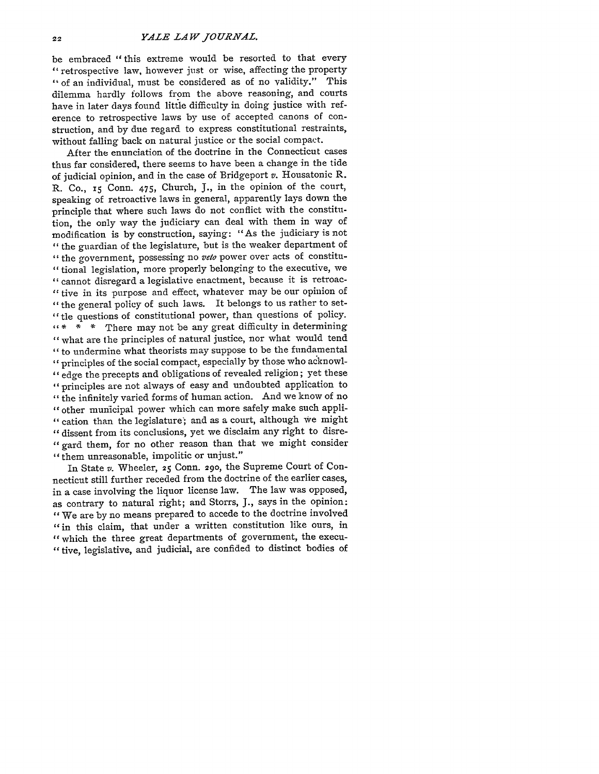be embraced "this extreme would be resorted to that every "retrospective law, however just or wise, affecting the property " of an individual, must be considered as of no validity." This dilemma hardly follows from the above reasoning, and courts have in later days found little difficulty in doing justice with reference to retrospective laws **by** use of accepted canons of construction, and by due regard to express constitutional restraints, without falling back on natural justice or the social compact.

After the enunciation of the doctrine in the Connecticut cases thus far considered, there seems to have been a change in the tide of judicial opinion, and in the case of Bridgeport  $v$ . Housatonic R. R. Co., **15** Conn. 475, Church, J., in the opinion of the court, speaking of retroactive laws in general, apparently lays down the principle that where such laws do not conflict with the constitution, the only way the judiciary can deal with them in way of modification is by construction, saying: "As the judiciary is not "the guardian of the legislature, but is the weaker department of "the government, possessing no *veto* power over acts of constitu- "tional legislation, more properly belonging to the executive, we "cannot disregard a legislative enactment, because it is retroac- "tive in its purpose and effect, whatever may be our opinion of "the general policy of such laws. It belongs to us rather to set-"tle questions of constitutional power, than questions of policy. **\* \* \*** There may not be any great difficulty in determining " what are the principles of natural justice, nor what would tend "to undermine what theorists may suppose to be the fundamental "principles of the social compact, especially by those who acknowl- "edge the precepts and obligations of revealed religion; yet these "principles are not always of easy and undoubted application to "the infinitely varied forms of human action. And we know of no "other municipal power which can more safely make such appli- "cation than the legislature; and as a court, although we might "dissent from its conclusions, yet we disclaim any right to disre- " gard them, for no other reason than that we might consider "them unreasonable, impolitic or unjust."

In State v. Wheeler, **25** Conn. **290,** the Supreme Court of Connecticut still further receded from the doctrine of the earlier cases, in a case involving the liquor license law. The law was opposed, as contrary to natural right; and Storrs, J., says in the opinion: "We are by no means prepared to accede to the doctrine involved "in this claim, that under a written constitution like ours, in "which the three great departments of government, the execu-"tive, legislative, and judicial, are confided to distinct bodies of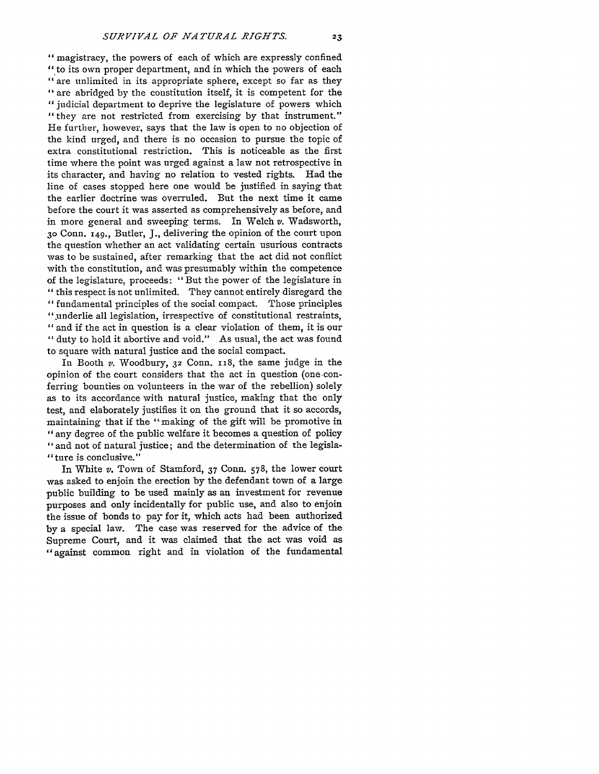"magistracy, the powers of each of which are expressly confined "to its own proper department, and in which the powers of each "are unlimited in its appropriate sphere, except so far as they "are abridged by the constitution itself, it is competent for the "judicial department to deprive the legislature of powers which "they are not restricted from exercising by that instrument." He further, however, says that the law is open to no objection of the kind urged, and there is no occasion to pursue the topic of extra constitutional restriction. This is noticeable as the first time where the point was urged against a law not retrospective in its character, and having no relation to vested rights. Had the line of cases stopped here one would be justified in saying that the earlier doctrine was overruled. But the next time it came before the court it was asserted as comprehensively as before, and in more general and sweeping terms. In Welch *v.* Wadsworth, **30** Conn. 149., Butler, J., delivering the opinion of the court upon the question whether an act validating certain usurious contracts was to be sustained, after remarking that the act did not conflict with the constitution, and was presumably within the competence of the legislature, proceeds: "But the power of the legislature in **"** this respect is not unlimited. They cannot entirely disregard the **"** fundamental principles of the social compact. Those principles ".underlie all legislation, irrespective of constitutional restraints, "and if the act in question is a clear violation of them, it is our "duty to hold it abortive and void." As usual, the act was found to square with natural justice and the social compact.

In Booth *v.* Woodbury, **32** Conn. i18, the same judge in the opinion of the court considers that the act in question (one-conferring bounties on volunteers in the war of the rebellion) solely as to its accordance with natural justice, making that the only test, and elaborately justifies it on the ground that it so accords, maintaining that if the "making of the gift will be promotive in "any degree of the public welfare it becomes a question of policy "and not of natural justice; and the determination of the legisla- "ture is conclusive."

In White *v.* Town of Stamford, 37 Conn. 578, the lower court was asked to enjoin the erection by the defendant town of a large public building to be used mainly as an investment for revenue purposes and only incidentally for public use, and also to enjoin the issue of bonds to pay for it, which acts had been authorized by a special law. The case was reserved for the advice of the Supreme Court, and it was claimed that the act was void as "against common right and in violation of the fundamental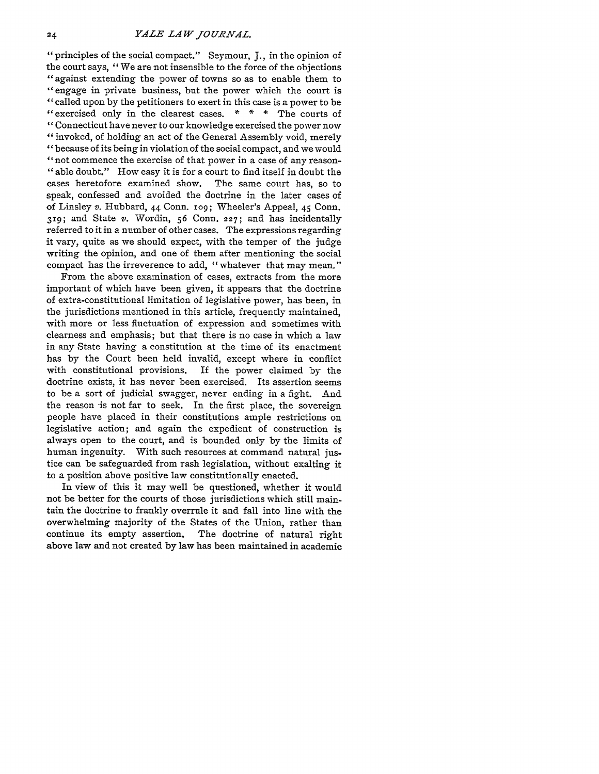" principles of the social compact." Seymour, J., in the opinion of the court says, "We are not insensible to the force of the objections "against extending the power of towns so as to enable them to "engage in private business, but the power which the court is "called upon by the petitioners to exert in this case is a power to be "exercised only in the clearest cases. **\* \* \*** The courts of "Connecticut have never to our knowledge exercised the power now "invoked, of holding an act of the General Assembly void, merely 'because of its being in violation of the social compact, and we would "not commence the exercise of that power in a case of any reason- "able doubt." How easy it is for a court to find itself in doubt the cases heretofore examined show. The same court has, so to speak, confessed and avoided the doctrine in the later cases of of Linsley *v.* Hubbard, 44 Conn. io9; Wheeler's Appeal, 45 Conn. **319;** and State *v.* Wordin, 56 Conn. **227;** and has incidentally referred to it in a number of other cases. The expressions regarding it vary, quite as we should expect, with the temper of the judge writing the opinion, and one of them after mentioning the social compact has the irreverence to add, "whatever that may mean."

From the above examination of cases, extracts from the more important of which have been given, it appears that the doctrine of extra-constitutional limitation of legislative power, has been, in the jurisdictions mentioned in this article, frequently maintained, with more or less fluctuation of expression and sometimes with clearness and emphasis; but that there is no case in which a law in any State having a constitution at the time of its enactment has by the Court been held invalid, except where in conflict with constitutional provisions. If the power claimed by the doctrine exists, it has never been exercised. Its assertion seems to be a sort of judicial swagger, never ending in a fight. And the reason -is not far to seek. In the first place, the sovereign people have placed in their constitutions ample restrictions on legislative action; and again the expedient of construction is always open to the court, and is bounded only by the limits of human ingenuity. With such resources at command natural justice can be safeguarded from rash legislation, without exalting it to a position above positive law constitutionally enacted.

In view of this it may well be questioned, whether it would not be better for the courts of those jurisdictions which still maintain the doctrine to frankly overrule it and fall into line with the overwhelming majority of the States of the Union, rather than continue its empty assertion. The doctrine of natural right above law and not created by law has been maintained in academic